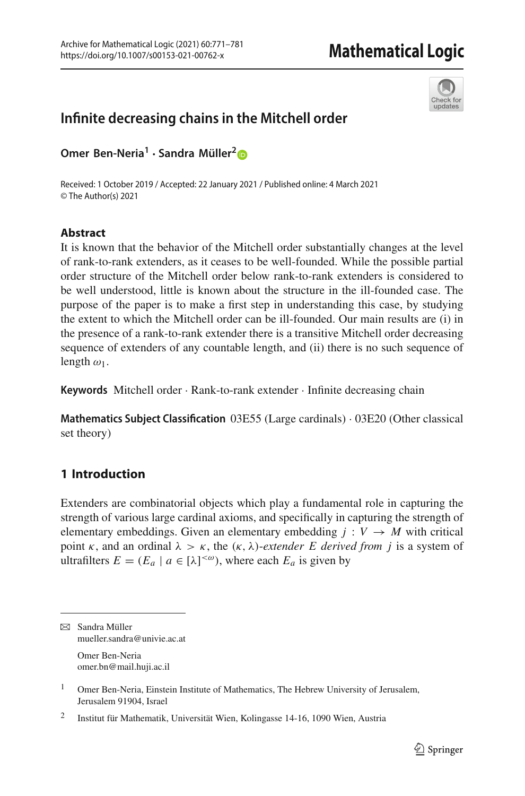

# **Infinite decreasing chains in the Mitchell order**

**Omer Ben-Neria<sup>1</sup> · Sandra Müller[2](http://orcid.org/0000-0002-7224-187X)**

Received: 1 October 2019 / Accepted: 22 January 2021 / Published online: 4 March 2021 © The Author(s) 2021

## **Abstract**

It is known that the behavior of the Mitchell order substantially changes at the level of rank-to-rank extenders, as it ceases to be well-founded. While the possible partial order structure of the Mitchell order below rank-to-rank extenders is considered to be well understood, little is known about the structure in the ill-founded case. The purpose of the paper is to make a first step in understanding this case, by studying the extent to which the Mitchell order can be ill-founded. Our main results are (i) in the presence of a rank-to-rank extender there is a transitive Mitchell order decreasing sequence of extenders of any countable length, and (ii) there is no such sequence of length  $\omega_1$ .

**Keywords** Mitchell order · Rank-to-rank extender · Infinite decreasing chain

**Mathematics Subject Classification** 03E55 (Large cardinals) · 03E20 (Other classical set theory)

# **1 Introduction**

Extenders are combinatorial objects which play a fundamental role in capturing the strength of various large cardinal axioms, and specifically in capturing the strength of elementary embeddings. Given an elementary embedding  $j: V \rightarrow M$  with critical point  $\kappa$ , and an ordinal  $\lambda > \kappa$ , the  $(\kappa, \lambda)$ -*extender E derived from j* is a system of ultrafilters  $E = (E_a \mid a \in [\lambda]^{<\omega})$ , where each  $E_a$  is given by

 $\boxtimes$  Sandra Müller mueller.sandra@univie.ac.at Omer Ben-Neria omer.bn@mail.huji.ac.il

<sup>&</sup>lt;sup>1</sup> Omer Ben-Neria, Einstein Institute of Mathematics, The Hebrew University of Jerusalem, Jerusalem 91904, Israel

<sup>2</sup> Institut für Mathematik, Universität Wien, Kolingasse 14-16, 1090 Wien, Austria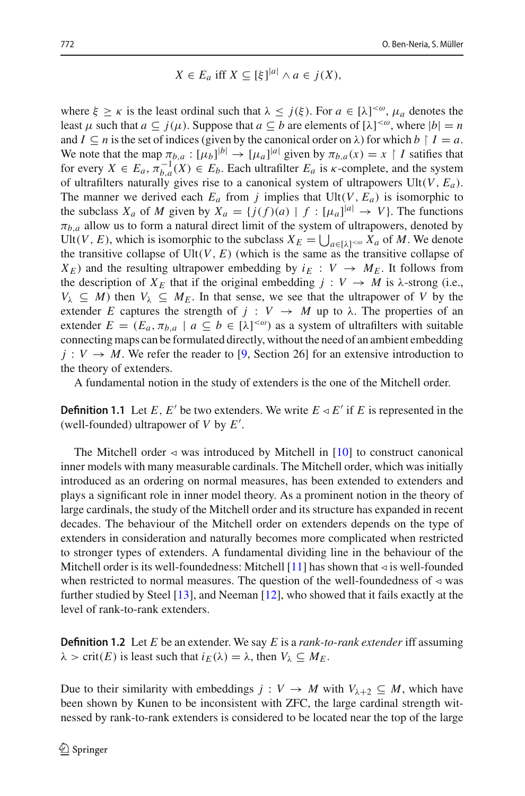$$
X \in E_a \text{ iff } X \subseteq [\xi]^{|a|} \land a \in j(X),
$$

where  $\xi \ge \kappa$  is the least ordinal such that  $\lambda \le j(\xi)$ . For  $a \in [\lambda]^{<\omega}$ ,  $\mu_a$  denotes the least  $\mu$  such that  $a \subseteq j(\mu)$ . Suppose that  $a \subseteq b$  are elements of  $[\lambda]^{<\omega}$ , where  $|b| = n$ and  $I \subseteq n$  is the set of indices (given by the canonical order on  $\lambda$ ) for which  $b \restriction I = a$ . We note that the map  $\pi_{b,a}: [\mu_b]^{b} \to [\mu_a]^{a}$  given by  $\pi_{b,a}(x) = x \restriction I$  satifies that for every  $X \in E_a$ ,  $\pi_{b,a}^{-1}(X) \in E_b$ . Each ultrafilter  $E_a$  is  $\kappa$ -complete, and the system of ultrafilters naturally gives rise to a canonical system of ultrapowers Ult(*V*, *Ea*). The manner we derived each  $E_a$  from *j* implies that  $Ult(V, E_a)$  is isomorphic to the subclass  $X_a$  of *M* given by  $X_a = \{j(f)(a) \mid f : [\mu_a]^{[a]} \to V\}$ . The functions  $\pi_{b,a}$  allow us to form a natural direct limit of the system of ultrapowers, denoted by Ult(*V*, *E*), which is isomorphic to the subclass  $X_E = \bigcup_{a \in [\lambda]^{\lt \omega}} X_a$  of *M*. We denote the transitive collapse of  $Ult(V, E)$  (which is the same as the transitive collapse of  $X_E$ ) and the resulting ultrapower embedding by  $i_E: V \rightarrow M_E$ . It follows from the description of  $X_E$  that if the original embedding  $j : V \to M$  is  $\lambda$ -strong (i.e.,  $V_{\lambda} \subseteq M$ ) then  $V_{\lambda} \subseteq M_E$ . In that sense, we see that the ultrapower of *V* by the extender *E* captures the strength of  $j : V \to M$  up to  $\lambda$ . The properties of an extender  $E = (E_a, \pi_{b,a} \mid a \subseteq b \in [\lambda]^{<\omega})$  as a system of ultrafilters with suitable connecting maps can be formulated directly, without the need of an ambient embedding  $j: V \to M$ . We refer the reader to [\[9](#page-10-0), Section 26] for an extensive introduction to the theory of extenders.

A fundamental notion in the study of extenders is the one of the Mitchell order.

**Definition 1.1** Let *E*, *E'* be two extenders. We write  $E \triangleleft E'$  if *E* is represented in the (well-founded) ultrapower of *V* by *E* .

The Mitchell order  $\triangleleft$  was introduced by Mitchell in [\[10\]](#page-10-1) to construct canonical inner models with many measurable cardinals. The Mitchell order, which was initially introduced as an ordering on normal measures, has been extended to extenders and plays a significant role in inner model theory. As a prominent notion in the theory of large cardinals, the study of the Mitchell order and its structure has expanded in recent decades. The behaviour of the Mitchell order on extenders depends on the type of extenders in consideration and naturally becomes more complicated when restricted to stronger types of extenders. A fundamental dividing line in the behaviour of the Mitchell order is its well-foundedness: Mitchell  $[11]$  has shown that  $\triangleleft$  is well-founded when restricted to normal measures. The question of the well-foundedness of  $\triangleleft$  was further studied by Steel [\[13\]](#page-10-3), and Neeman [\[12\]](#page-10-4), who showed that it fails exactly at the level of rank-to-rank extenders.

**Definition 1.2** Let *E* be an extender. We say *E* is a *rank-to-rank extender* iff assuming  $\lambda > \text{crit}(E)$  is least such that  $i_E(\lambda) = \lambda$ , then  $V_{\lambda} \subseteq M_E$ .

Due to their similarity with embeddings  $j: V \to M$  with  $V_{\lambda+2} \subseteq M$ , which have been shown by Kunen to be inconsistent with ZFC, the large cardinal strength witnessed by rank-to-rank extenders is considered to be located near the top of the large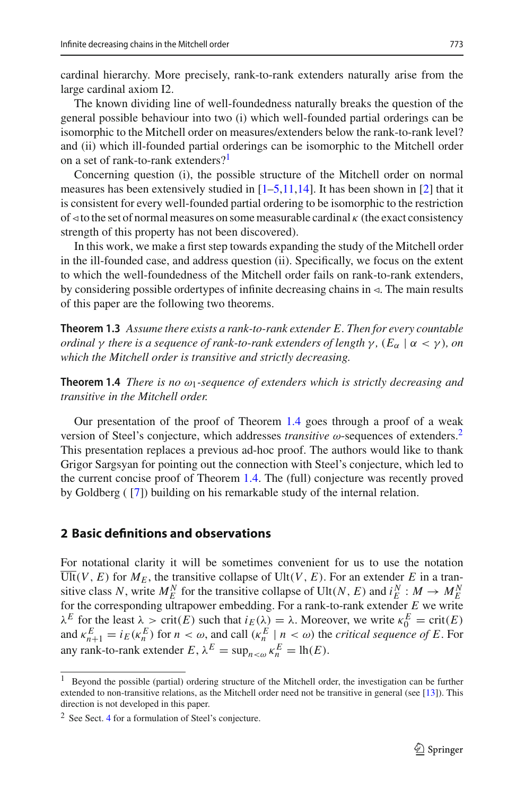cardinal hierarchy. More precisely, rank-to-rank extenders naturally arise from the large cardinal axiom I2.

The known dividing line of well-foundedness naturally breaks the question of the general possible behaviour into two (i) which well-founded partial orderings can be isomorphic to the Mitchell order on measures/extenders below the rank-to-rank level? and (ii) which ill-founded partial orderings can be isomorphic to the Mitchell order on a set of rank-to-rank extenders?<sup>[1](#page-2-0)</sup>

Concerning question (i), the possible structure of the Mitchell order on normal measures has been extensively studied in  $[1-5,11,14]$  $[1-5,11,14]$  $[1-5,11,14]$  $[1-5,11,14]$  $[1-5,11,14]$ . It has been shown in [\[2](#page-10-8)] that it is consistent for every well-founded partial ordering to be isomorphic to the restriction of  $\le$  to the set of normal measures on some measurable cardinal  $\kappa$  (the exact consistency strength of this property has not been discovered).

In this work, we make a first step towards expanding the study of the Mitchell order in the ill-founded case, and address question (ii). Specifically, we focus on the extent to which the well-foundedness of the Mitchell order fails on rank-to-rank extenders, by considering possible ordertypes of infinite decreasing chains in  $\leq$ . The main results of this paper are the following two theorems.

<span id="page-2-3"></span>**Theorem 1.3** *Assume there exists a rank-to-rank extender E. Then for every countable ordinal*  $\gamma$  *there is a sequence of rank-to-rank extenders of length*  $\gamma$ *,* ( $E_{\alpha}$  |  $\alpha$  <  $\gamma$ )*, on which the Mitchell order is transitive and strictly decreasing.*

<span id="page-2-1"></span>**Theorem 1.4** *There is no*  $\omega_1$ -sequence of extenders which is strictly decreasing and *transitive in the Mitchell order.*

Our presentation of the proof of Theorem [1.4](#page-2-1) goes through a proof of a weak version of Steel's conjecture, which addresses *transitive* ω-sequences of extenders[.2](#page-2-2) This presentation replaces a previous ad-hoc proof. The authors would like to thank Grigor Sargsyan for pointing out the connection with Steel's conjecture, which led to the current concise proof of Theorem [1.4.](#page-2-1) The (full) conjecture was recently proved by Goldberg ( [\[7](#page-10-9)]) building on his remarkable study of the internal relation.

#### **2 Basic definitions and observations**

For notational clarity it will be sometimes convenient for us to use the notation  $\overline{Ult}(V, E)$  for  $M_E$ , the transitive collapse of Ult $(V, E)$ . For an extender *E* in a transitive class *N*, write  $M_E^N$  for the transitive collapse of Ult(*N*, *E*) and  $i_E^N : M \to M_E^N$ for the corresponding ultrapower embedding. For a rank-to-rank extender *E* we write  $λ^E$  for the least  $λ$  > crit(*E*) such that  $i_E(λ) = λ$ . Moreover, we write  $κ_0^E = crit(E)$ and  $\kappa_{n+1}^E = i_E(\kappa_n^E)$  for  $n < \omega$ , and call  $(\kappa_n^E \mid n < \omega)$  the *critical sequence of E*. For any rank-to-rank extender  $E$ ,  $\lambda^E = \sup_{n < \omega} \kappa_n^E = \text{lh}(E)$ .

<span id="page-2-0"></span><sup>1</sup> Beyond the possible (partial) ordering structure of the Mitchell order, the investigation can be further extended to non-transitive relations, as the Mitchell order need not be transitive in general (see [\[13\]](#page-10-3)). This direction is not developed in this paper.

<span id="page-2-2"></span><sup>2</sup> See Sect. [4](#page-8-0) for a formulation of Steel's conjecture.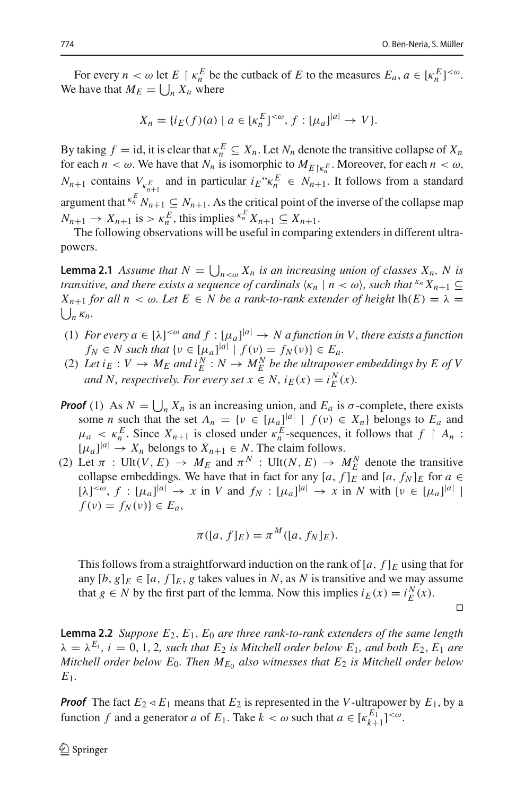For every  $n < \omega$  let  $E \restriction \kappa_n^E$  be the cutback of  $E$  to the measures  $E_a, a \in [\kappa_n^E]^{<\omega}$ . We have that  $M_E = \bigcup_n X_n$  where

$$
X_n = \{i_E(f)(a) \mid a \in [\kappa_n^E]^{<\omega}, f : [\mu_a]^{|a|} \to V\}.
$$

By taking  $f = id$ , it is clear that  $\kappa_n^E \subseteq X_n$ . Let  $N_n$  denote the transitive collapse of  $X_n$ for each  $n < \omega$ . We have that  $N_n$  is isomorphic to  $M_{E\vert \mathcal{K}_n^E}$ . Moreover, for each  $n < \omega$ ,  $N_{n+1}$  contains  $V_{\kappa_{n+1}^{E}}$  and in particular  $i_{E} \kappa_{n}^{E} \in N_{n+1}$ . It follows from a standard argument that  $\binom{k}{n} N_{n+1} \subseteq N_{n+1}$ . As the critical point of the inverse of the collapse map  $N_{n+1} \rightarrow X_{n+1}$  is  $> \kappa_n^E$ , this implies  $\kappa_n^E X_{n+1} \subseteq X_{n+1}$ .

<span id="page-3-0"></span>The following observations will be useful in comparing extenders in different ultrapowers.

**Lemma 2.1** *Assume that*  $N = \bigcup_{n \leq \omega} X_n$  *is an increasing union of classes*  $X_n$ , *N is transitive, and there exists a sequence of cardinals*  $\langle \kappa_n | n \langle \omega \rangle$ , such that  $\kappa_n X_{n+1} \subseteq$  $\bigcup_n \kappa_n$ . *X<sub>n+1</sub> for all*  $n < \omega$ *. Let*  $E \in N$  *be a rank-to-rank extender of height*  $lh(E) = \lambda$ 

- (1) *For every*  $a \in [\lambda]^{<\omega}$  and  $f : [\mu_a]^{|\alpha|} \to N$  a function in V, there exists a function  $f_N \in N$  such that  $\{v \in [\mu_a]^{[a]} \mid f(v) = f_N(v)\} \in E_a$ .
- (2) Let  $i_E: V \to M_E$  and  $i_E^N: N \to M_E^N$  be the ultrapower embeddings by E of V *and N, respectively. For every set*  $x \in N$ ,  $i_E(x) = i_E^N(x)$ .
- **Proof** (1) As  $N = \bigcup_n X_n$  is an increasing union, and  $E_a$  is  $\sigma$ -complete, there exists some *n* such that the set  $A_n = \{v \in [\mu_a]^{a} | f(v) \in X_n\}$  belongs to  $E_a$  and  $\mu_a \leq \kappa_n^E$ . Since  $X_{n+1}$  is closed under  $\kappa_n^E$ -sequences, it follows that  $f \restriction A_n$ :  $[\mu_a]^{a} \rightarrow X_n$  belongs to  $X_{n+1} \in N$ . The claim follows.
- (2) Let  $\pi$  : Ult(*V*, *E*)  $\rightarrow$  *M<sub>E</sub>* and  $\pi^N$  : Ult(*N*, *E*)  $\rightarrow$  *M*<sub>E</sub><sup>*N*</sup> denote the transitive collapse embeddings. We have that in fact for any  $[a, f]_E^{\text{}}$  and  $[a, f_N]_E$  for  $a \in$  $[\lambda]^{<\omega}, f : [\mu_a]^{a} \to x$  in *V* and  $f_N : [\mu_a]^{a} \to x$  in *N* with  $\{v \in [\mu_a]^{a} \mid$  $f(v) = f_N(v) \in E_a$

$$
\pi([a, f]_E) = \pi^M([a, f_N]_E).
$$

This follows from a straightforward induction on the rank of  $[a, f]_E$  using that for any  $[b, g]_E \in [a, f]_E$ , *g* takes values in *N*, as *N* is transitive and we may assume that *g*  $\in$  *N* by the first part of the lemma. Now this implies  $i_E(x) = i_E^N(x)$ .

 $\Box$ 

<span id="page-3-1"></span>**Lemma 2.2** *Suppose E*2, *E*1, *E*<sup>0</sup> *are three rank-to-rank extenders of the same length*  $\lambda = \lambda^{E_i}$ ,  $i = 0, 1, 2$ , such that  $E_2$  is Mitchell order below  $E_1$ , and both  $E_2$ ,  $E_1$  are *Mitchell order below*  $E_0$ *. Then*  $M_{E_0}$  *also witnesses that*  $E_2$  *is Mitchell order below E*1*.*

*Proof* The fact  $E_2 \triangleleft E_1$  means that  $E_2$  is represented in the *V*-ultrapower by  $E_1$ , by a function *f* and a generator *a* of  $E_1$ . Take  $k < \omega$  such that  $a \in [\kappa_{k+1}^{E_1}]^{<\omega}$ .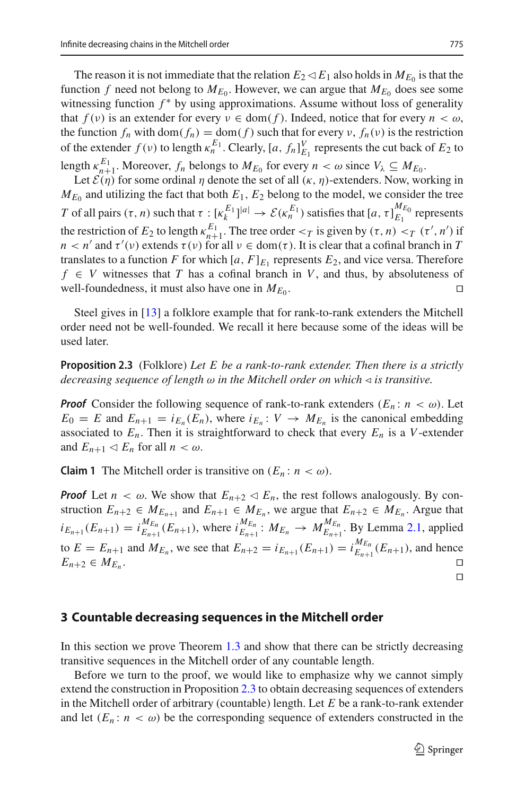The reason it is not immediate that the relation  $E_2 \triangleleft E_1$  also holds in  $M_{E_0}$  is that the function *f* need not belong to  $M_{E_0}$ . However, we can argue that  $M_{E_0}$  does see some witnessing function  $f^*$  by using approximations. Assume without loss of generality that  $f(v)$  is an extender for every  $v \in \text{dom}(f)$ . Indeed, notice that for every  $n < \omega$ , the function  $f_n$  with dom $(f_n) = \text{dom}(f)$  such that for every  $v$ ,  $f_n(v)$  is the restriction of the extender  $f(v)$  to length  $\kappa_n^{E_1}$ . Clearly,  $[a, f_n]_{E_1}^V$  represents the cut back of  $E_2$  to length  $\kappa_{n+1}^{E_1}$ . Moreover,  $f_n$  belongs to  $M_{E_0}$  for every  $n < \omega$  since  $V_\lambda \subseteq M_{E_0}$ .

Let  $\mathcal{E}(\eta)$  for some ordinal  $\eta$  denote the set of all  $(\kappa, \eta)$ -extenders. Now, working in  $M_{E_0}$  and utilizing the fact that both  $E_1, E_2$  belong to the model, we consider the tree *T* of all pairs  $(\tau, n)$  such that  $\tau : [\kappa_k^{E_1}]^{|a|} \to \mathcal{E}(\kappa_n^{E_1})$  satisfies that  $[a, \tau]_{E_1}^{M_{E_0}}$  represents the restriction of  $E_2$  to length  $\kappa_{n+1}^{E_1}$ . The tree order  $\langle\tau\rangle$  is given by  $(\tau, n) \langle\tau\rangle$  if  $\langle\tau\rangle$  is  $\langle\tau\rangle$ *n* < *n'* and  $\tau'(v)$  extends  $\tau(v)$  for all  $v \in \text{dom}(\tau)$ . It is clear that a cofinal branch in *T* translates to a function *F* for which  $[a, F]_{E_1}$  represents  $E_2$ , and vice versa. Therefore  $f \in V$  witnesses that *T* has a cofinal branch in *V*, and thus, by absoluteness of well-foundedness, it must also have one in  $M_{E_0}$ .

Steel gives in [\[13](#page-10-3)] a folklore example that for rank-to-rank extenders the Mitchell order need not be well-founded. We recall it here because some of the ideas will be used later.

<span id="page-4-0"></span>**Proposition 2.3** (Folklore) *Let E be a rank-to-rank extender. Then there is a strictly decreasing sequence of length*  $\omega$  *in the Mitchell order on which*  $\triangleleft$  *is transitive.* 

*Proof* Consider the following sequence of rank-to-rank extenders  $(E_n: n < \omega)$ . Let  $E_0 = E$  and  $E_{n+1} = i_{E_n}(E_n)$ , where  $i_{E_n}: V \rightarrow M_{E_n}$  is the canonical embedding associated to  $E_n$ . Then it is straightforward to check that every  $E_n$  is a *V*-extender and  $E_{n+1} \triangleleft E_n$  for all  $n < \omega$ .

<span id="page-4-1"></span>**Claim 1** The Mitchell order is transitive on  $(E_n: n < \omega)$ .

*Proof* Let  $n < \omega$ . We show that  $E_{n+2} \triangleleft E_n$ , the rest follows analogously. By construction  $E_{n+2} \in M_{E_{n+1}}$  and  $E_{n+1} \in M_{E_n}$ , we argue that  $E_{n+2} \in M_{E_n}$ . Argue that  $i_{E_{n+1}}(E_{n+1}) = i_{E_{n+1}}^{M_{E_n}}$  $\frac{M_{En}}{E_{n+1}}(E_{n+1}),$  where  $i_{En+1}^{M_{En}}: M_{En} \rightarrow M_{En+1}^{M_{En}}$ . By Lemma [2.1,](#page-3-0) applied to  $E = E_{n+1}$  and  $M_{E_n}$ , we see that  $E_{n+2} = i_{E_{n+1}}(E_{n+1}) = i_{E_{n+1}}^{M_{E_n}}$  $E_{n+1}^{m_{En}}(E_{n+1})$ , and hence  $E_{n+2} \in M_{E_n}$ .  $\Box$ 

#### **3 Countable decreasing sequences in the Mitchell order**

In this section we prove Theorem [1.3](#page-2-3) and show that there can be strictly decreasing transitive sequences in the Mitchell order of any countable length.

Before we turn to the proof, we would like to emphasize why we cannot simply extend the construction in Proposition [2.3](#page-4-0) to obtain decreasing sequences of extenders in the Mitchell order of arbitrary (countable) length. Let *E* be a rank-to-rank extender and let  $(E_n: n < \omega)$  be the corresponding sequence of extenders constructed in the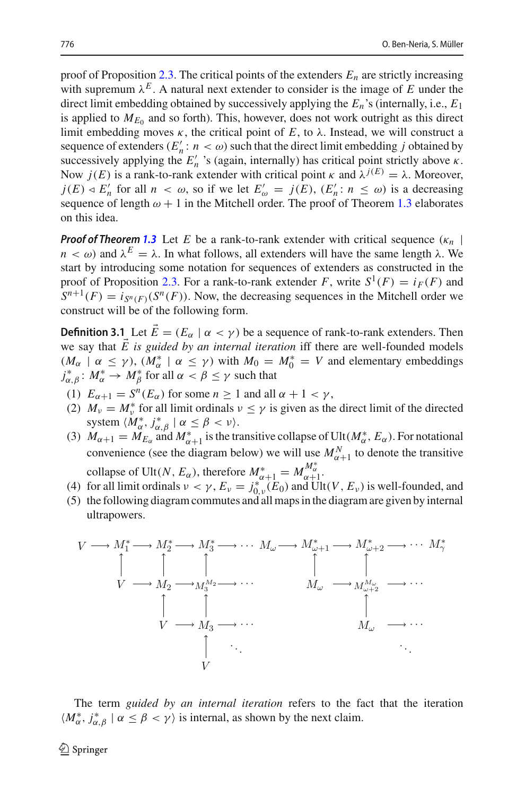proof of Proposition [2.3.](#page-4-0) The critical points of the extenders  $E_n$  are strictly increasing with supremum  $\lambda^E$ . A natural next extender to consider is the image of *E* under the direct limit embedding obtained by successively applying the *En*'s (internally, i.e., *E*<sup>1</sup> is applied to  $M_{E_0}$  and so forth). This, however, does not work outright as this direct limit embedding moves  $\kappa$ , the critical point of  $E$ , to  $\lambda$ . Instead, we will construct a sequence of extenders  $(E'_n : n < \omega)$  such that the direct limit embedding *j* obtained by successively applying the  $E'_n$  's (again, internally) has critical point strictly above  $\kappa$ . Now *j*(*E*) is a rank-to-rank extender with critical point κ and  $λ^{j(E)} = λ$ . Moreover,  $j(E) \triangleleft E'_n$  for all  $n < \omega$ , so if we let  $E'_\omega = j(E)$ ,  $(E'_n : n \leq \omega)$  is a decreasing sequence of length  $\omega + 1$  in the Mitchell order. The proof of Theorem [1.3](#page-2-3) elaborates on this idea.

*Proof of Theorem* [1.3](#page-2-3) Let *E* be a rank-to-rank extender with critical sequence  $(\kappa_n \mid \mathbf{r})$  $n < \omega$ ) and  $\lambda^E = \lambda$ . In what follows, all extenders will have the same length  $\lambda$ . We start by introducing some notation for sequences of extenders as constructed in the proof of Proposition [2.3.](#page-4-0) For a rank-to-rank extender *F*, write  $S^1(F) = i_F(F)$  and  $S^{n+1}(F) = i_{S^n(F)}(S^n(F))$ . Now, the decreasing sequences in the Mitchell order we construct will be of the following form.

<span id="page-5-0"></span>**Definition 3.1** Let  $\vec{E} = (E_\alpha \mid \alpha < \gamma)$  be a sequence of rank-to-rank extenders. Then we say that  $\vec{E}$  is guided by an internal iteration iff there are well-founded models  $(M_{\alpha} \mid \alpha \le \gamma)$ ,  $(M_{\alpha}^* \mid \alpha \le \gamma)$  with  $M_0 = M_0^* = V$  and elementary embeddings  $j_{\alpha,\beta}^{\ast}\colon M_{\alpha}^{\ast}\to M_{\beta}^{\ast}$  for all  $\alpha<\beta\leq\gamma$  such that

- (1)  $E_{\alpha+1} = S^n(E_{\alpha})$  for some  $n \ge 1$  and all  $\alpha + 1 < \gamma$ ,
- (2)  $M_{\nu} = M_{\nu}^*$  for all limit ordinals  $\nu \leq \gamma$  is given as the direct limit of the directed system  $\langle M^*_{\alpha}, j^*_{\alpha, \beta} | \alpha \leq \beta < \nu \rangle$ .
- (3)  $M_{\alpha+1} = M_{E_{\alpha}}$  and  $M_{\alpha+1}^*$  is the transitive collapse of Ult $(M_{\alpha}^*, E_{\alpha})$ . For notational convenience (see the diagram below) we will use  $M_{\alpha+1}^N$  to denote the transitive

collapse of Ult(*N*,  $E_{\alpha}$ ), therefore  $M_{\alpha+1}^* = M_{\alpha+1}^{M_{\alpha}^*}$ 

- (4) for all limit ordinals  $\nu < \gamma$ ,  $E_{\nu} = j_{0,\nu}^*(E_0)$  and Ult(*V*,  $E_{\nu}$ ) is well-founded, and
- (5) the following diagram commutes and all maps in the diagram are given by internal ultrapowers.



The term *guided by an internal iteration* refers to the fact that the iteration  $\langle M^*_{\alpha}, j^*_{\alpha, \beta} | \alpha \leq \beta < \gamma \rangle$  is internal, as shown by the next claim.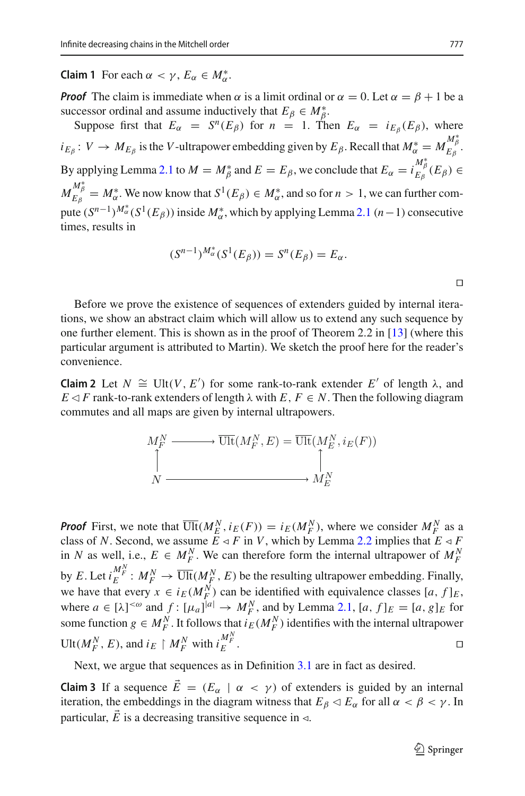**Claim 1** For each  $\alpha < \gamma$ ,  $E_{\alpha} \in M_{\alpha}^*$ .

*Proof* The claim is immediate when  $\alpha$  is a limit ordinal or  $\alpha = 0$ . Let  $\alpha = \beta + 1$  be a successor ordinal and assume inductively that  $E_\beta \in M_\beta^*$ .

Suppose first that  $E_\alpha = S^n(E_\beta)$  for  $n = 1$ . Then  $E_\alpha = i_{E_\beta}(E_\beta)$ , where  $i_{E_{\beta}}: V \to M_{E_{\beta}}$  is the *V*-ultrapower embedding given by  $E_{\beta}$ . Recall that  $M_{\alpha}^* = M_{E_{\beta}}^{M_{\beta}^*}$ . By applying Lemma [2.1](#page-3-0) to  $M = M^*_{\beta}$  and  $E = E_{\beta}$ , we conclude that  $E_{\alpha} = i_{E_{\beta}}^{M^*_{\beta}}(E_{\beta}) \in$  $M_{E_{\beta}}^{M_{\beta}^{*}}=M_{\alpha}^{*}$ . We now know that  $S^{1}(E_{\beta})\in M_{\alpha}^{*}$ , and so for  $n>1,$  we can further compute  $(S^{n-1})^{M^*_{\alpha}}(S^1(E_{\beta}))$  inside  $M^*_{\alpha}$ , which by applying Lemma [2.1](#page-3-0)  $(n-1)$  consecutive times, results in

$$
(S^{n-1})^{M^*_{\alpha}}(S^1(E_{\beta})) = S^n(E_{\beta}) = E_{\alpha}.
$$

 $\Box$ 

Before we prove the existence of sequences of extenders guided by internal iterations, we show an abstract claim which will allow us to extend any such sequence by one further element. This is shown as in the proof of Theorem 2.2 in [\[13\]](#page-10-3) (where this particular argument is attributed to Martin). We sketch the proof here for the reader's convenience.

<span id="page-6-0"></span>**Claim 2** Let *N*  $\cong$  Ult(*V*, *E*<sup> $\prime$ </sup>) for some rank-to-rank extender *E*<sup> $\prime$ </sup> of length  $\lambda$ , and *E*  $\leq$  *F* rank-to-rank extenders of length  $\lambda$  with *E*, *F*  $\in$  *N*. Then the following diagram commutes and all maps are given by internal ultrapowers.

$$
M_F^N \longrightarrow \overline{\text{Ult}}(M_F^N, E) = \overline{\text{Ult}}(M_E^N, i_E(F))
$$
  
\n
$$
\uparrow
$$
  
\n
$$
M_E^N
$$

*Proof* First, we note that  $\overline{\text{Ult}}(M_E^N, i_E(F)) = i_E(M_F^N)$ , where we consider  $M_F^N$  as a class of *N*. Second, we assume  $E \leq F$  in *V*, which by Lemma [2.2](#page-3-1) implies that  $E \leq F$ in *N* as well, i.e.,  $E \in M_F^N$ . We can therefore form the internal ultrapower of  $M_F^N$ by *E*. Let  $i_E^{M_F^N}$ :  $M_F^N \to \overline{\text{Ult}}(M_F^N, E)$  be the resulting ultrapower embedding. Finally, we have that every  $x \in i_E(M_F^N)$  can be identified with equivalence classes [a, f]<sub>E</sub>, where  $a \in [\lambda]^{<\omega}$  and  $f: [\mu_a]^{[a]} \to M_F^N$ , and by Lemma [2.1,](#page-3-0)  $[a, f]_E = [a, g]_E$  for some function  $g \in M_F^N$ . It follows that  $i_E(M_F^N)$  identifies with the internal ultrapower Ult $(M_F^N, E)$ , and  $i_E \restriction M_F^N$  with  $i_E^{M_F^N}$  $E$  .

Next, we argue that sequences as in Definition [3.1](#page-5-0) are in fact as desired.

**Claim 3** If a sequence  $\vec{E} = (E_\alpha \mid \alpha < \gamma)$  of extenders is guided by an internal iteration, the embeddings in the diagram witness that  $E_\beta \lhd E_\alpha$  for all  $\alpha < \beta < \gamma$ . In particular,  $\vec{E}$  is a decreasing transitive sequence in  $\triangleleft$ .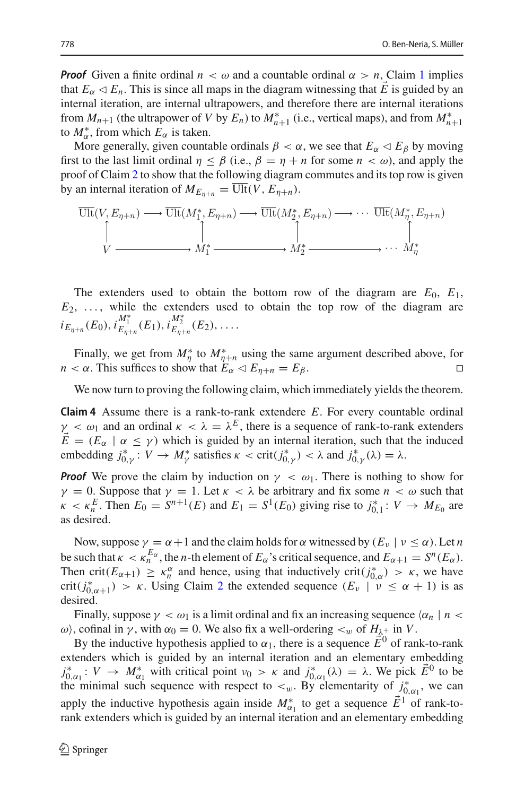*Proof* Given a finite ordinal  $n < \omega$  and a countable ordinal  $\alpha > n$ , Claim [1](#page-4-1) implies that  $E_\alpha \triangleleft E_n$ . This is since all maps in the diagram witnessing that *E* is guided by an internal iteration, are internal ultrapowers, and therefore there are internal iterations from  $M_{n+1}$  (the ultrapower of *V* by  $E_n$ ) to  $M_{n+1}^*$  (i.e., vertical maps), and from  $M_{n+1}^*$ to  $M^*_{\alpha}$ , from which  $E_{\alpha}$  is taken.

More generally, given countable ordinals  $\beta < \alpha$ , we see that  $E_{\alpha} \lhd E_{\beta}$  by moving first to the last limit ordinal  $\eta \leq \beta$  (i.e.,  $\beta = \eta + n$  for some  $n < \omega$ ), and apply the proof of Claim [2](#page-6-0) to show that the following diagram commutes and its top row is given by an internal iteration of  $M_{E_{n+n}} = \overline{\text{Ult}}(V, E_{n+n}).$ 

$$
\overline{\text{Ult}}(V, E_{\eta+n}) \longrightarrow \overline{\text{Ult}}(M_1^*, E_{\eta+n}) \longrightarrow \overline{\text{Ult}}(M_2^*, E_{\eta+n}) \longrightarrow \cdots \overline{\text{Ult}}(M_\eta^*, E_{\eta+n})
$$
\n
$$
\uparrow \qquad \qquad \uparrow \qquad \qquad \uparrow \qquad \qquad \uparrow \qquad \qquad \uparrow
$$
\n
$$
V \longrightarrow M_1^* \longrightarrow M_2^* \longrightarrow \cdots M_\eta^*
$$

The extenders used to obtain the bottom row of the diagram are  $E_0$ ,  $E_1$ ,  $E_2, \ldots$ , while the extenders used to obtain the top row of the diagram are  $i_{E_{\eta+n}}(E_0)$ ,  $i_{E_{\eta+n}}^{M_1^*}(E_1)$ ,  $i_{E_{\eta+n}}^{M_2^*}(E_2)$ , ...

Finally, we get from  $M^*_{\eta}$  to  $M^*_{\eta+H}$  using the same argument described above, for *n* <  $\alpha$ . This suffices to show that  $E_{\alpha} \lhd E_{\eta+n} = E_{\beta}$ .

We now turn to proving the following claim, which immediately yields the theorem.

**Claim 4** Assume there is a rank-to-rank extendere *E*. For every countable ordinal  $\gamma < \omega_1$  and an ordinal  $\kappa < \lambda = \lambda^E$ , there is a sequence of rank-to-rank extenders  $\vec{E} = (E_{\alpha} \mid \alpha \leq \gamma)$  which is guided by an internal iteration, such that the induced embedding  $j^*_{0,\gamma}: V \to M^*_{\gamma}$  satisfies  $\kappa < \text{crit}(j^*_{0,\gamma}) < \lambda$  and  $j^*_{0,\gamma}(\lambda) = \lambda$ .

*Proof* We prove the claim by induction on  $\gamma < \omega_1$ . There is nothing to show for  $\gamma = 0$ . Suppose that  $\gamma = 1$ . Let  $\kappa < \lambda$  be arbitrary and fix some  $n < \omega$  such that  $\kappa < \kappa_n^E$ . Then  $E_0 = S^{n+1}(E)$  and  $E_1 = S^1(E_0)$  giving rise to  $j_{0,1}^* : V \to M_{E_0}$  are as desired.

Now, suppose  $\gamma = \alpha + 1$  and the claim holds for  $\alpha$  witnessed by  $(E_{\nu} | \nu \le \alpha)$ . Let *n* be such that  $\kappa < \kappa_n^{E_\alpha}$ , the *n*-th element of  $E_\alpha$ 's critical sequence, and  $E_{\alpha+1} = S^n(E_\alpha)$ . Then crit( $E_{\alpha+1}$ )  $\geq \kappa_n^{\alpha}$  and hence, using that inductively crit( $j_{0,\alpha}^*$ )  $> \kappa$ , we have crit( $j^*_{0,\alpha+1}$ ) > κ. Using Claim [2](#page-6-0) the extended sequence  $(E_\nu \mid \nu \le \alpha + 1)$  is as desired.

Finally, suppose  $\gamma < \omega_1$  is a limit ordinal and fix an increasing sequence  $\langle \alpha_n | n \rangle$ ω), cofinal in *γ*, with  $\alpha_0 = 0$ . We also fix a well-ordering  $\lt_w$  of  $H_{\lambda^+}$  in *V*.

By the inductive hypothesis applied to  $\alpha_1$ , there is a sequence  $\vec{E}^0$  of rank-to-rank extenders which is guided by an internal iteration and an elementary embedding  $j^*_{0,\alpha_1}: V \to M^*_{\alpha_1}$  with critical point  $\nu_0 > \kappa$  and  $j^*_{0,\alpha_1}(\lambda) = \lambda$ . We pick  $\vec{E}^0$  to be the minimal such sequence with respect to  $\lt_w$ . By elementarity of  $j^*_{0,\alpha_1}$ , we can apply the inductive hypothesis again inside  $M_{\alpha_1}^*$  to get a sequence  $\vec{E}^1$  of rank-torank extenders which is guided by an internal iteration and an elementary embedding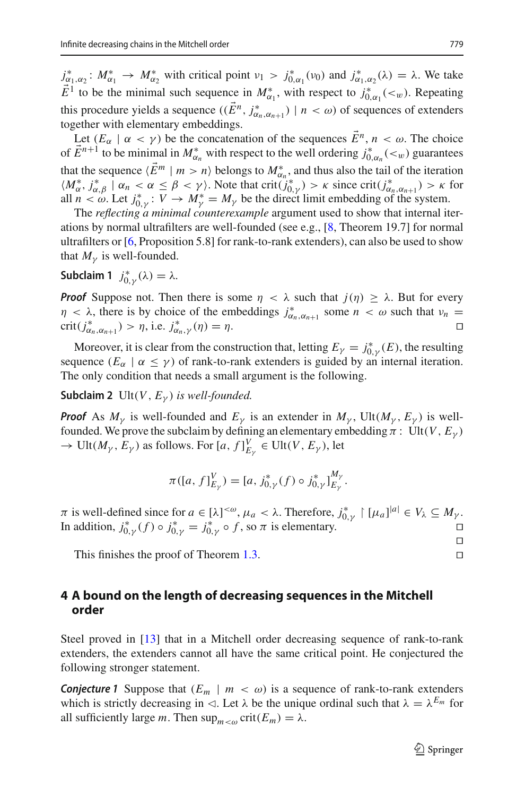$j^*_{\alpha_1,\alpha_2}$ :  $M^*_{\alpha_1} \to M^*_{\alpha_2}$  with critical point  $\nu_1 > j^*_{0,\alpha_1}(\nu_0)$  and  $j^*_{\alpha_1,\alpha_2}(\lambda) = \lambda$ . We take  $\vec{E}^1$  to be the minimal such sequence in  $M^*_{\alpha_1}$ , with respect to  $j^*_{0,\alpha_1}(<sub>w</sub>)$ . Repeating this procedure yields a sequence  $((\vec{E}^n, j^*_{\alpha_n,\alpha_{n+1}}) \mid n < \omega)$  of sequences of extenders together with elementary embeddings.

Let  $(E_{\alpha} \mid \alpha < \gamma)$  be the concatenation of the sequences  $\vec{E}^n$ ,  $n < \omega$ . The choice of  $\vec{E}^{n+1}$  to be minimal in  $M^*_{\alpha_n}$  with respect to the well ordering  $j^*_{0,\alpha_n}(<sub>w</sub>)$  guarantees that the sequence  $\langle E^m | m > n \rangle$  belongs to  $M^*_{\alpha_n}$ , and thus also the tail of the iteration  $\langle M_{\alpha}^*, j_{\alpha,\beta}^* \mid \alpha_n < \alpha \leq \beta < \gamma \rangle$ . Note that crit $(j_{0,\gamma}^*) > \kappa$  since crit $(j_{\alpha_n,\alpha_{n+1}}^*) > \kappa$  for all  $n < \omega$ . Let  $j_{0,\gamma}^* : V \to M_{\gamma}^* = M_{\gamma}$  be the direct limit embedding of the system.

The *reflecting a minimal counterexample* argument used to show that internal iterations by normal ultrafilters are well-founded (see e.g., [\[8](#page-10-10), Theorem 19.7] for normal ultrafilters or [\[6](#page-10-11), Proposition 5.8] for rank-to-rank extenders), can also be used to show that  $M_{\nu}$  is well-founded.

**Subclaim 1**  $j_{0,\gamma}^*(\lambda) = \lambda$ .

*Proof* Suppose not. Then there is some  $\eta < \lambda$  such that  $j(\eta) \geq \lambda$ . But for every  $\eta < \lambda$ , there is by choice of the embeddings  $j^*_{\alpha_n, \alpha_{n+1}}$  some  $n < \omega$  such that  $\nu_n =$ crit( $j^*_{\alpha_n, \alpha_{n+1}}$ ) >  $\eta$ , i.e.  $j^*_{\alpha_n, \gamma}(\eta) = \eta$ .

Moreover, it is clear from the construction that, letting  $E_{\gamma} = j_{0,\gamma}^{*}(E)$ , the resulting sequence  $(E_\alpha \mid \alpha \leq \gamma)$  of rank-to-rank extenders is guided by an internal iteration. The only condition that needs a small argument is the following.

**Subclaim 2** Ult(*V*,  $E_{\gamma}$ ) *is well-founded.* 

*Proof* As  $M_{\nu}$  is well-founded and  $E_{\nu}$  is an extender in  $M_{\nu}$ , Ult( $M_{\nu}$ ,  $E_{\nu}$ ) is wellfounded. We prove the subclaim by defining an elementary embedding  $\pi$  : Ult(*V*,  $E_{\nu}$ )  $\rightarrow$  Ult $(M_{\gamma}, E_{\gamma})$  as follows. For  $[a, f]_{E_{\gamma}}^{V} \in \text{Ult}(V, E_{\gamma}),$  let

$$
\pi([a, f]_{E_{\gamma}}^V) = [a, j_{0,\gamma}^*(f) \circ j_{0,\gamma}^*]_{E_{\gamma}}^{M_{\gamma}}.
$$

*π* is well-defined since for *a* ∈ [λ]<sup><ω</sup>, μ<sub>*a*</sub> < λ. Therefore,  $j^*_{0,\gamma}$  | [μ<sub>*a*</sub>]|*a*| ∈  $V_\lambda \subseteq M_\gamma$ . In addition,  $j^*_{0,\gamma}(f) \circ j^*_{0,\gamma} = j^*_{0,\gamma} \circ f$ , so  $\pi$  is elementary.

This finishes the proof of Theorem [1.3.](#page-2-3) 

# <span id="page-8-0"></span>**4 A bound on the length of decreasing sequences in the Mitchell order**

Steel proved in [\[13\]](#page-10-3) that in a Mitchell order decreasing sequence of rank-to-rank extenders, the extenders cannot all have the same critical point. He conjectured the following stronger statement.

**Conjecture 1** Suppose that  $(E_m \mid m < \omega)$  is a sequence of rank-to-rank extenders which is strictly decreasing in  $\triangleleft$ . Let  $\lambda$  be the unique ordinal such that  $\lambda = \lambda^{E_m}$  for all sufficiently large *m*. Then  $\sup_{m \lt \omega} \text{crit}(E_m) = \lambda$ .

 $\begin{array}{c} \square \\ \square \end{array}$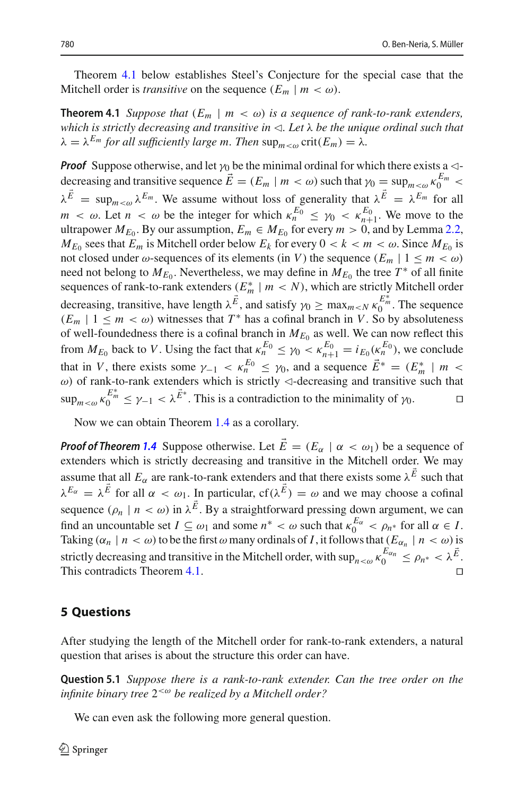<span id="page-9-0"></span>Theorem [4.1](#page-9-0) below establishes Steel's Conjecture for the special case that the Mitchell order is *transitive* on the sequence  $(E_m \mid m < \omega)$ .

**Theorem 4.1** *Suppose that*  $(E_m \mid m < \omega)$  *is a sequence of rank-to-rank extenders, which is strictly decreasing and transitive in . Let* λ *be the unique ordinal such that*  $\lambda = \lambda^{E_m}$  *for all sufficiently large m. Then*  $\sup_{m \le \omega} \text{crit}(E_m) = \lambda$ *.* 

*Proof* Suppose otherwise, and let  $\gamma_0$  be the minimal ordinal for which there exists a  $\lhd$ decreasing and transitive sequence  $\vec{E} = (E_m \mid m < \omega)$  such that  $\gamma_0 = \sup_{m < \omega} \kappa_0^{E_m} < \infty$  $\lambda^{\vec{E}} = \sup_{m \leq \omega} \lambda^{E_m}$ . We assume without loss of generality that  $\lambda^{\vec{E}} = \lambda^{E_m}$  for all  $m < \omega$ . Let  $n < \omega$  be the integer for which  $\kappa_n^{E_0} \leq \gamma_0 < \kappa_{n+1}^{E_0}$ . We move to the ultrapower  $M_{E_0}$ . By our assumption,  $E_m \in M_{E_0}$  for every  $m > 0$ , and by Lemma [2.2,](#page-3-1)  $M_{E_0}$  sees that  $E_m$  is Mitchell order below  $E_k$  for every  $0 < k < m < \omega$ . Since  $M_{E_0}$  is not closed under  $\omega$ -sequences of its elements (in *V*) the sequence  $(E_m | 1 \le m < \omega)$ need not belong to  $M_{E_0}$ . Nevertheless, we may define in  $M_{E_0}$  the tree  $T^*$  of all finite sequences of rank-to-rank extenders  $(K_m^* \mid m \lt N)$ , which are strictly Mitchell order decreasing, transitive, have length  $\lambda^{\vec{E}}$ , and satisfy  $\gamma_0 \ge \max_{m \le N} \kappa_0^{E_m^*}$ . The sequence  $(E_m \mid 1 \leq m < \omega)$  witnesses that  $T^*$  has a cofinal branch in *V*. So by absoluteness of well-foundedness there is a cofinal branch in  $M_{E_0}$  as well. We can now reflect this from  $M_{E_0}$  back to *V*. Using the fact that  $\kappa_n^{E_0} \leq \gamma_0 < \kappa_{n+1}^{E_0} = i_{E_0}(\kappa_n^{E_0})$ , we conclude that in *V*, there exists some  $\gamma_{-1} < \kappa_n^{E_0} \leq \gamma_0$ , and a sequence  $\vec{E}^* = (E_m^* \mid m$ ω) of rank-to-rank extenders which is strictly  $\triangleleft$ -decreasing and transitive such that  $\sup_{m < \omega} \kappa_0^{E_m^*} \leq \gamma_{-1} < \lambda^{\vec{E}^*}$ . This is a contradiction to the minimality of  $\gamma_0$ .

Now we can obtain Theorem [1.4](#page-2-1) as a corollary.

*Proof of Theorem* [1.4](#page-2-1) Suppose otherwise. Let  $\vec{E} = (E_\alpha \mid \alpha < \omega_1)$  be a sequence of extenders which is strictly decreasing and transitive in the Mitchell order. We may assume that all  $E_\alpha$  are rank-to-rank extenders and that there exists some  $\lambda^E$  such that  $\lambda^{E_\alpha} = \lambda^E$  for all  $\alpha < \omega_1$ . In particular,  $cf(\lambda^E) = \omega$  and we may choose a cofinal sequence  $(\rho_n \mid n < \omega)$  in  $\lambda^E$ . By a straightforward pressing down argument, we can find an uncountable set  $I \subseteq \omega_1$  and some  $n^* < \omega$  such that  $\kappa_0^{E_\alpha} < \rho_{n^*}$  for all  $\alpha \in I$ . Taking  $(\alpha_n \mid n < \omega)$  to be the first  $\omega$  many ordinals of *I*, it follows that  $(E_{\alpha_n} \mid n < \omega)$  is strictly decreasing and transitive in the Mitchell order, with  $\sup_{n<\omega} \kappa_0^{E_{\alpha_n}} \leq \rho_{n^*} < \lambda^{\vec{E}}$ . This contradicts Theorem [4.1.](#page-9-0)

#### **5 Questions**

After studying the length of the Mitchell order for rank-to-rank extenders, a natural question that arises is about the structure this order can have.

**Question 5.1** *Suppose there is a rank-to-rank extender. Can the tree order on the infinite binary tree* 2<ω *be realized by a Mitchell order?*

We can even ask the following more general question.